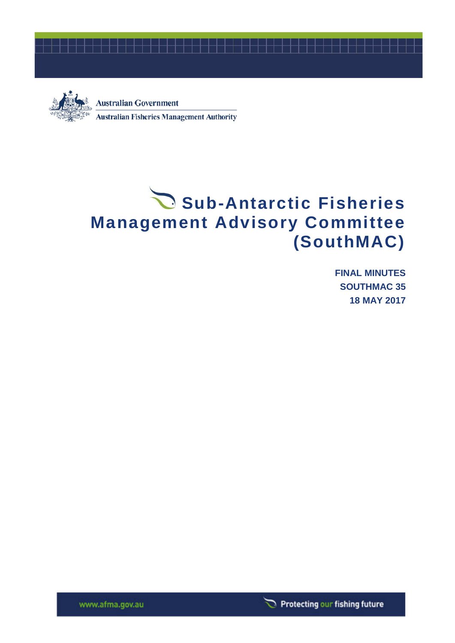



**Australian Government Australian Fisheries Management Authority** 

# Sub-Antarctic Fisheries **Management Advisory Committee (SouthMAC)**

**FINAL MINUTES SOUTHMAC 35 18 MAY 2017**

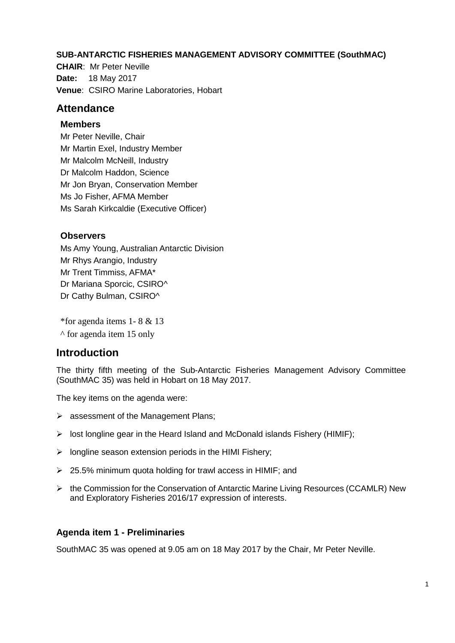#### **SUB-ANTARCTIC FISHERIES MANAGEMENT ADVISORY COMMITTEE (SouthMAC)**

**CHAIR**: Mr Peter Neville **Date:** 18 May 2017 **Venue**: CSIRO Marine Laboratories, Hobart

# **Attendance**

#### **Members**

Mr Peter Neville, Chair Mr Martin Exel, Industry Member Mr Malcolm McNeill, Industry Dr Malcolm Haddon, Science Mr Jon Bryan, Conservation Member Ms Jo Fisher, AFMA Member Ms Sarah Kirkcaldie (Executive Officer)

# **Observers**

Ms Amy Young, Australian Antarctic Division Mr Rhys Arangio, Industry Mr Trent Timmiss, AFMA\* Dr Mariana Sporcic, CSIRO^ Dr Cathy Bulman, CSIRO^

\*for agenda items 1- 8 & 13

^ for agenda item 15 only

# **Introduction**

The thirty fifth meeting of the Sub-Antarctic Fisheries Management Advisory Committee (SouthMAC 35) was held in Hobart on 18 May 2017.

The key items on the agenda were:

- $\triangleright$  assessment of the Management Plans;
- $\triangleright$  lost longline gear in the Heard Island and McDonald islands Fishery (HIMIF);
- $\triangleright$  longline season extension periods in the HIMI Fishery;
- 25.5% minimum quota holding for trawl access in HIMIF; and
- $\triangleright$  the Commission for the Conservation of Antarctic Marine Living Resources (CCAMLR) New and Exploratory Fisheries 2016/17 expression of interests.

# **Agenda item 1 - Preliminaries**

SouthMAC 35 was opened at 9.05 am on 18 May 2017 by the Chair, Mr Peter Neville.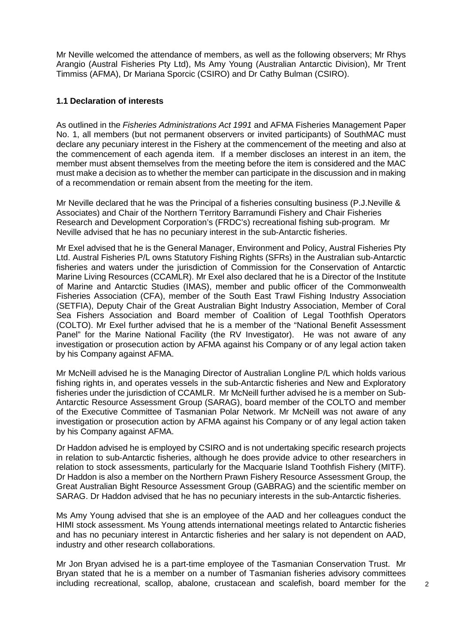Mr Neville welcomed the attendance of members, as well as the following observers; Mr Rhys Arangio (Austral Fisheries Pty Ltd), Ms Amy Young (Australian Antarctic Division), Mr Trent Timmiss (AFMA), Dr Mariana Sporcic (CSIRO) and Dr Cathy Bulman (CSIRO).

#### **1.1 Declaration of interests**

As outlined in the *Fisheries Administrations Act 1991* and AFMA Fisheries Management Paper No. 1, all members (but not permanent observers or invited participants) of SouthMAC must declare any pecuniary interest in the Fishery at the commencement of the meeting and also at the commencement of each agenda item. If a member discloses an interest in an item. the member must absent themselves from the meeting before the item is considered and the MAC must make a decision as to whether the member can participate in the discussion and in making of a recommendation or remain absent from the meeting for the item.

Mr Neville declared that he was the Principal of a fisheries consulting business (P.J.Neville & Associates) and Chair of the Northern Territory Barramundi Fishery and Chair Fisheries Research and Development Corporation's (FRDC's) recreational fishing sub-program. Mr Neville advised that he has no pecuniary interest in the sub-Antarctic fisheries.

Mr Exel advised that he is the General Manager, Environment and Policy, Austral Fisheries Pty Ltd. Austral Fisheries P/L owns Statutory Fishing Rights (SFRs) in the Australian sub-Antarctic fisheries and waters under the jurisdiction of Commission for the Conservation of Antarctic Marine Living Resources (CCAMLR). Mr Exel also declared that he is a Director of the Institute of Marine and Antarctic Studies (IMAS), member and public officer of the Commonwealth Fisheries Association (CFA), member of the South East Trawl Fishing Industry Association (SETFIA), Deputy Chair of the Great Australian Bight Industry Association, Member of Coral Sea Fishers Association and Board member of Coalition of Legal Toothfish Operators (COLTO). Mr Exel further advised that he is a member of the "National Benefit Assessment Panel" for the Marine National Facility (the RV Investigator). He was not aware of any investigation or prosecution action by AFMA against his Company or of any legal action taken by his Company against AFMA.

Mr McNeill advised he is the Managing Director of Australian Longline P/L which holds various fishing rights in, and operates vessels in the sub-Antarctic fisheries and New and Exploratory fisheries under the jurisdiction of CCAMLR. Mr McNeill further advised he is a member on Sub-Antarctic Resource Assessment Group (SARAG), board member of the COLTO and member of the Executive Committee of Tasmanian Polar Network. Mr McNeill was not aware of any investigation or prosecution action by AFMA against his Company or of any legal action taken by his Company against AFMA.

Dr Haddon advised he is employed by CSIRO and is not undertaking specific research projects in relation to sub-Antarctic fisheries, although he does provide advice to other researchers in relation to stock assessments, particularly for the Macquarie Island Toothfish Fishery (MITF). Dr Haddon is also a member on the Northern Prawn Fishery Resource Assessment Group, the Great Australian Bight Resource Assessment Group (GABRAG) and the scientific member on SARAG. Dr Haddon advised that he has no pecuniary interests in the sub-Antarctic fisheries.

Ms Amy Young advised that she is an employee of the AAD and her colleagues conduct the HIMI stock assessment. Ms Young attends international meetings related to Antarctic fisheries and has no pecuniary interest in Antarctic fisheries and her salary is not dependent on AAD, industry and other research collaborations.

Mr Jon Bryan advised he is a part-time employee of the Tasmanian Conservation Trust. Mr Bryan stated that he is a member on a number of Tasmanian fisheries advisory committees including recreational, scallop, abalone, crustacean and scalefish, board member for the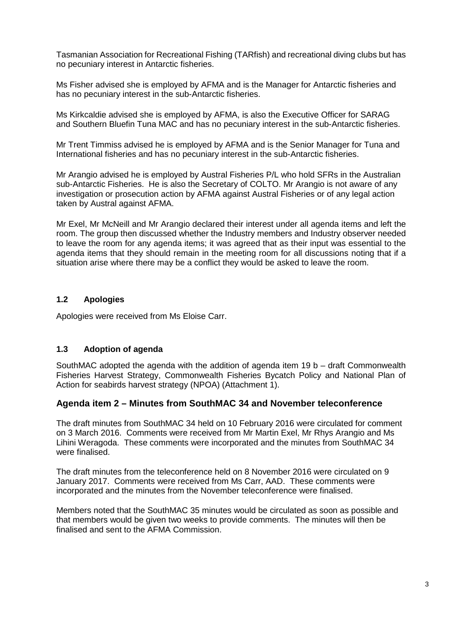Tasmanian Association for Recreational Fishing (TARfish) and recreational diving clubs but has no pecuniary interest in Antarctic fisheries.

Ms Fisher advised she is employed by AFMA and is the Manager for Antarctic fisheries and has no pecuniary interest in the sub-Antarctic fisheries.

Ms Kirkcaldie advised she is employed by AFMA, is also the Executive Officer for SARAG and Southern Bluefin Tuna MAC and has no pecuniary interest in the sub-Antarctic fisheries.

Mr Trent Timmiss advised he is employed by AFMA and is the Senior Manager for Tuna and International fisheries and has no pecuniary interest in the sub-Antarctic fisheries.

Mr Arangio advised he is employed by Austral Fisheries P/L who hold SFRs in the Australian sub-Antarctic Fisheries. He is also the Secretary of COLTO. Mr Arangio is not aware of any investigation or prosecution action by AFMA against Austral Fisheries or of any legal action taken by Austral against AFMA.

Mr Exel, Mr McNeill and Mr Arangio declared their interest under all agenda items and left the room. The group then discussed whether the Industry members and Industry observer needed to leave the room for any agenda items; it was agreed that as their input was essential to the agenda items that they should remain in the meeting room for all discussions noting that if a situation arise where there may be a conflict they would be asked to leave the room.

#### **1.2 Apologies**

Apologies were received from Ms Eloise Carr.

#### **1.3 Adoption of agenda**

SouthMAC adopted the agenda with the addition of agenda item 19 b – draft Commonwealth Fisheries Harvest Strategy, Commonwealth Fisheries Bycatch Policy and National Plan of Action for seabirds harvest strategy (NPOA) (Attachment 1).

#### **Agenda item 2 – Minutes from SouthMAC 34 and November teleconference**

The draft minutes from SouthMAC 34 held on 10 February 2016 were circulated for comment on 3 March 2016. Comments were received from Mr Martin Exel, Mr Rhys Arangio and Ms Lihini Weragoda. These comments were incorporated and the minutes from SouthMAC 34 were finalised.

The draft minutes from the teleconference held on 8 November 2016 were circulated on 9 January 2017. Comments were received from Ms Carr, AAD. These comments were incorporated and the minutes from the November teleconference were finalised.

Members noted that the SouthMAC 35 minutes would be circulated as soon as possible and that members would be given two weeks to provide comments. The minutes will then be finalised and sent to the AFMA Commission.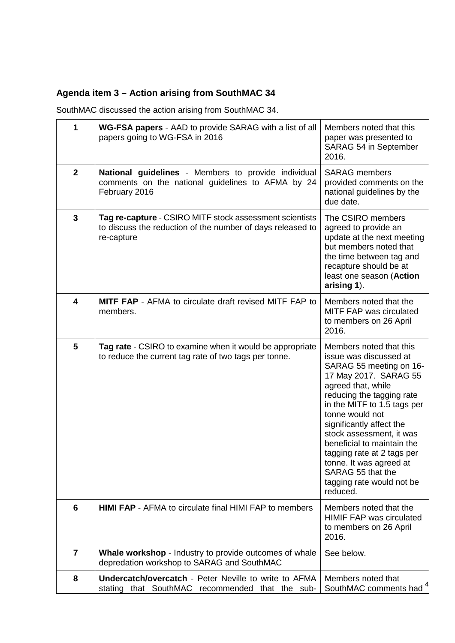# **Agenda item 3 – Action arising from SouthMAC 34**

SouthMAC discussed the action arising from SouthMAC 34.

| 1            | WG-FSA papers - AAD to provide SARAG with a list of all<br>papers going to WG-FSA in 2016                                           | Members noted that this<br>paper was presented to<br>SARAG 54 in September<br>2016.                                                                                                                                                                                                                                                                                                                                     |  |  |
|--------------|-------------------------------------------------------------------------------------------------------------------------------------|-------------------------------------------------------------------------------------------------------------------------------------------------------------------------------------------------------------------------------------------------------------------------------------------------------------------------------------------------------------------------------------------------------------------------|--|--|
| $\mathbf{2}$ | National guidelines - Members to provide individual<br>comments on the national guidelines to AFMA by 24<br>February 2016           | <b>SARAG</b> members<br>provided comments on the<br>national guidelines by the<br>due date.                                                                                                                                                                                                                                                                                                                             |  |  |
| 3            | Tag re-capture - CSIRO MITF stock assessment scientists<br>to discuss the reduction of the number of days released to<br>re-capture | The CSIRO members<br>agreed to provide an<br>update at the next meeting<br>but members noted that<br>the time between tag and<br>recapture should be at<br>least one season (Action<br>arising 1).                                                                                                                                                                                                                      |  |  |
| 4            | <b>MITF FAP</b> - AFMA to circulate draft revised MITF FAP to<br>members.                                                           | Members noted that the<br>MITF FAP was circulated<br>to members on 26 April<br>2016.                                                                                                                                                                                                                                                                                                                                    |  |  |
| 5            | Tag rate - CSIRO to examine when it would be appropriate<br>to reduce the current tag rate of two tags per tonne.                   | Members noted that this<br>issue was discussed at<br>SARAG 55 meeting on 16-<br>17 May 2017. SARAG 55<br>agreed that, while<br>reducing the tagging rate<br>in the MITF to 1.5 tags per<br>tonne would not<br>significantly affect the<br>stock assessment, it was<br>beneficial to maintain the<br>tagging rate at 2 tags per<br>tonne. It was agreed at<br>SARAG 55 that the<br>tagging rate would not be<br>reduced. |  |  |
| 6            | <b>HIMI FAP</b> - AFMA to circulate final HIMI FAP to members                                                                       | Members noted that the<br><b>HIMIF FAP was circulated</b><br>to members on 26 April<br>2016.                                                                                                                                                                                                                                                                                                                            |  |  |
| 7            | Whale workshop - Industry to provide outcomes of whale<br>depredation workshop to SARAG and SouthMAC                                | See below.                                                                                                                                                                                                                                                                                                                                                                                                              |  |  |
| 8            | <b>Undercatch/overcatch - Peter Neville to write to AFMA</b><br>stating that SouthMAC recommended that the sub-                     | Members noted that<br>SouthMAC comments had                                                                                                                                                                                                                                                                                                                                                                             |  |  |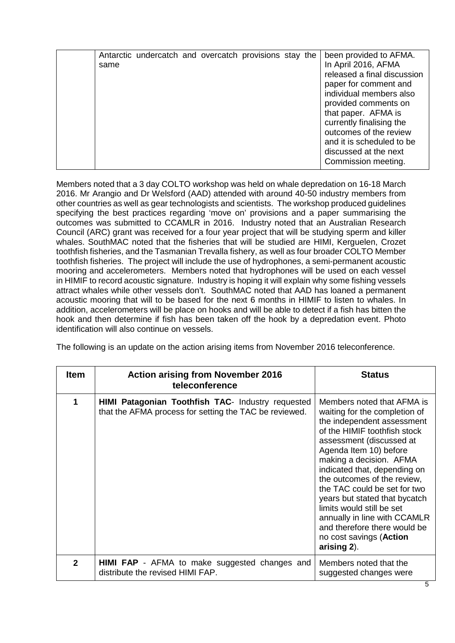|  | same | Antarctic undercatch and overcatch provisions stay the |  |  |  |  |  | been provided to AFMA.<br>In April 2016, AFMA<br>released a final discussion<br>paper for comment and<br>individual members also<br>provided comments on<br>that paper. AFMA is<br>currently finalising the<br>outcomes of the review<br>and it is scheduled to be<br>discussed at the next<br>Commission meeting. |
|--|------|--------------------------------------------------------|--|--|--|--|--|--------------------------------------------------------------------------------------------------------------------------------------------------------------------------------------------------------------------------------------------------------------------------------------------------------------------|
|--|------|--------------------------------------------------------|--|--|--|--|--|--------------------------------------------------------------------------------------------------------------------------------------------------------------------------------------------------------------------------------------------------------------------------------------------------------------------|

Members noted that a 3 day COLTO workshop was held on whale depredation on 16-18 March 2016. Mr Arangio and Dr Welsford (AAD) attended with around 40-50 industry members from other countries as well as gear technologists and scientists. The workshop produced guidelines specifying the best practices regarding 'move on' provisions and a paper summarising the outcomes was submitted to CCAMLR in 2016. Industry noted that an Australian Research Council (ARC) grant was received for a four year project that will be studying sperm and killer whales. SouthMAC noted that the fisheries that will be studied are HIMI, Kerguelen, Crozet toothfish fisheries, and the Tasmanian Trevalla fishery, as well as four broader COLTO Member toothfish fisheries. The project will include the use of hydrophones, a semi-permanent acoustic mooring and accelerometers. Members noted that hydrophones will be used on each vessel in HIMIF to record acoustic signature. Industry is hoping it will explain why some fishing vessels attract whales while other vessels don't. SouthMAC noted that AAD has loaned a permanent acoustic mooring that will to be based for the next 6 months in HIMIF to listen to whales. In addition, accelerometers will be place on hooks and will be able to detect if a fish has bitten the hook and then determine if fish has been taken off the hook by a depredation event. Photo identification will also continue on vessels.

The following is an update on the action arising items from November 2016 teleconference.

| <b>Item</b>  | <b>Action arising from November 2016</b><br>teleconference                                                  | <b>Status</b>                                                                                                                                                                                                                                                                                                                                                                                                                                                                     |
|--------------|-------------------------------------------------------------------------------------------------------------|-----------------------------------------------------------------------------------------------------------------------------------------------------------------------------------------------------------------------------------------------------------------------------------------------------------------------------------------------------------------------------------------------------------------------------------------------------------------------------------|
| 1            | HIMI Patagonian Toothfish TAC- Industry requested<br>that the AFMA process for setting the TAC be reviewed. | Members noted that AFMA is<br>waiting for the completion of<br>the independent assessment<br>of the HIMIF toothfish stock<br>assessment (discussed at<br>Agenda Item 10) before<br>making a decision. AFMA<br>indicated that, depending on<br>the outcomes of the review,<br>the TAC could be set for two<br>years but stated that bycatch<br>limits would still be set<br>annually in line with CCAMLR<br>and therefore there would be<br>no cost savings (Action<br>arising 2). |
| $\mathbf{2}$ | HIMI FAP - AFMA to make suggested changes and<br>distribute the revised HIMI FAP.                           | Members noted that the<br>suggested changes were                                                                                                                                                                                                                                                                                                                                                                                                                                  |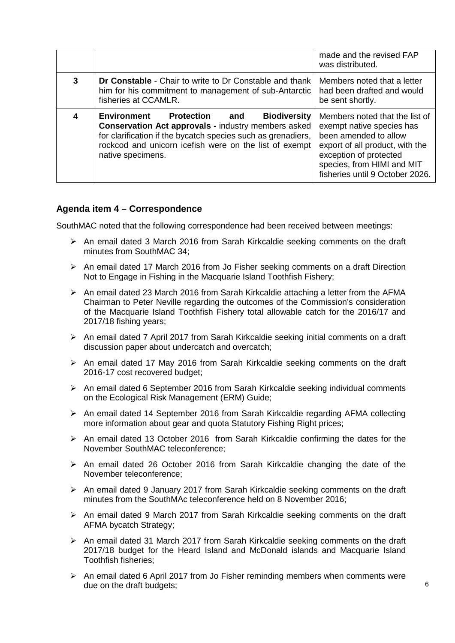|   |                                                                                                                                                                                                                                                                                 | made and the revised FAP<br>was distributed.                                                                                                                                                                       |
|---|---------------------------------------------------------------------------------------------------------------------------------------------------------------------------------------------------------------------------------------------------------------------------------|--------------------------------------------------------------------------------------------------------------------------------------------------------------------------------------------------------------------|
| 3 | Dr Constable - Chair to write to Dr Constable and thank<br>him for his commitment to management of sub-Antarctic<br>fisheries at CCAMLR.                                                                                                                                        | Members noted that a letter<br>had been drafted and would<br>be sent shortly.                                                                                                                                      |
|   | <b>Environment</b><br><b>Biodiversity</b><br><b>Protection</b> and<br><b>Conservation Act approvals - industry members asked</b><br>for clarification if the bycatch species such as grenadiers,<br>rockcod and unicorn icefish were on the list of exempt<br>native specimens. | Members noted that the list of<br>exempt native species has<br>been amended to allow<br>export of all product, with the<br>exception of protected<br>species, from HIMI and MIT<br>fisheries until 9 October 2026. |

# **Agenda item 4 – Correspondence**

SouthMAC noted that the following correspondence had been received between meetings:

- $\triangleright$  An email dated 3 March 2016 from Sarah Kirkcaldie seeking comments on the draft minutes from SouthMAC 34;
- $\triangleright$  An email dated 17 March 2016 from Jo Fisher seeking comments on a draft Direction Not to Engage in Fishing in the Macquarie Island Toothfish Fishery;
- $\triangleright$  An email dated 23 March 2016 from Sarah Kirkcaldie attaching a letter from the AFMA Chairman to Peter Neville regarding the outcomes of the Commission's consideration of the Macquarie Island Toothfish Fishery total allowable catch for the 2016/17 and 2017/18 fishing years;
- $\triangleright$  An email dated 7 April 2017 from Sarah Kirkcaldie seeking initial comments on a draft discussion paper about undercatch and overcatch;
- $\triangleright$  An email dated 17 May 2016 from Sarah Kirkcaldie seeking comments on the draft 2016-17 cost recovered budget;
- An email dated 6 September 2016 from Sarah Kirkcaldie seeking individual comments on the Ecological Risk Management (ERM) Guide;
- $\triangleright$  An email dated 14 September 2016 from Sarah Kirkcaldie regarding AFMA collecting more information about gear and quota Statutory Fishing Right prices;
- $\triangleright$  An email dated 13 October 2016 from Sarah Kirkcaldie confirming the dates for the November SouthMAC teleconference;
- $\geq$  An email dated 26 October 2016 from Sarah Kirkcaldie changing the date of the November teleconference;
- $\triangleright$  An email dated 9 January 2017 from Sarah Kirkcaldie seeking comments on the draft minutes from the SouthMAc teleconference held on 8 November 2016;
- $\triangleright$  An email dated 9 March 2017 from Sarah Kirkcaldie seeking comments on the draft AFMA bycatch Strategy;
- $\triangleright$  An email dated 31 March 2017 from Sarah Kirkcaldie seeking comments on the draft 2017/18 budget for the Heard Island and McDonald islands and Macquarie Island Toothfish fisheries;
- $\triangleright$  An email dated 6 April 2017 from Jo Fisher reminding members when comments were due on the draft budgets;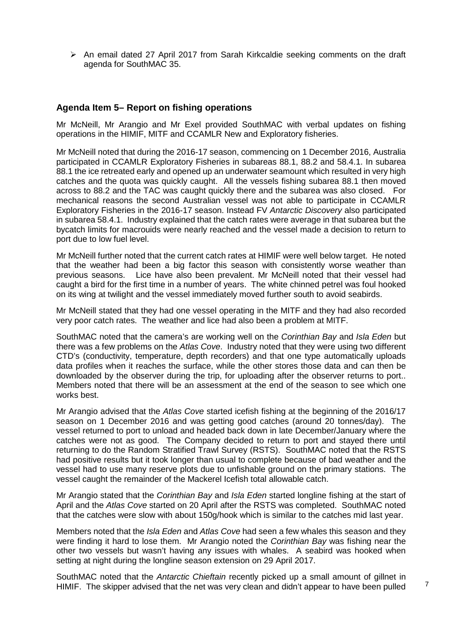$\triangleright$  An email dated 27 April 2017 from Sarah Kirkcaldie seeking comments on the draft agenda for SouthMAC 35.

#### **Agenda Item 5– Report on fishing operations**

Mr McNeill, Mr Arangio and Mr Exel provided SouthMAC with verbal updates on fishing operations in the HIMIF, MITF and CCAMLR New and Exploratory fisheries.

Mr McNeill noted that during the 2016-17 season, commencing on 1 December 2016, Australia participated in CCAMLR Exploratory Fisheries in subareas 88.1, 88.2 and 58.4.1. In subarea 88.1 the ice retreated early and opened up an underwater seamount which resulted in very high catches and the quota was quickly caught. All the vessels fishing subarea 88.1 then moved across to 88.2 and the TAC was caught quickly there and the subarea was also closed. For mechanical reasons the second Australian vessel was not able to participate in CCAMLR Exploratory Fisheries in the 2016-17 season. Instead FV *Antarctic Discovery* also participated in subarea 58.4.1. Industry explained that the catch rates were average in that subarea but the bycatch limits for macrouids were nearly reached and the vessel made a decision to return to port due to low fuel level.

Mr McNeill further noted that the current catch rates at HIMIF were well below target. He noted that the weather had been a big factor this season with consistently worse weather than previous seasons. Lice have also been prevalent. Mr McNeill noted that their vessel had caught a bird for the first time in a number of years. The white chinned petrel was foul hooked on its wing at twilight and the vessel immediately moved further south to avoid seabirds.

Mr McNeill stated that they had one vessel operating in the MITF and they had also recorded very poor catch rates. The weather and lice had also been a problem at MITF.

SouthMAC noted that the camera's are working well on the *Corinthian Bay* and *Isla Eden* but there was a few problems on the *Atlas Cove*. Industry noted that they were using two different CTD's (conductivity, temperature, depth recorders) and that one type automatically uploads data profiles when it reaches the surface, while the other stores those data and can then be downloaded by the observer during the trip, for uploading after the observer returns to port.. Members noted that there will be an assessment at the end of the season to see which one works best.

Mr Arangio advised that the *Atlas Cove* started icefish fishing at the beginning of the 2016/17 season on 1 December 2016 and was getting good catches (around 20 tonnes/day). The vessel returned to port to unload and headed back down in late December/January where the catches were not as good. The Company decided to return to port and stayed there until returning to do the Random Stratified Trawl Survey (RSTS). SouthMAC noted that the RSTS had positive results but it took longer than usual to complete because of bad weather and the vessel had to use many reserve plots due to unfishable ground on the primary stations. The vessel caught the remainder of the Mackerel Icefish total allowable catch.

Mr Arangio stated that the *Corinthian Bay* and *Isla Eden* started longline fishing at the start of April and the *Atlas Cove* started on 20 April after the RSTS was completed. SouthMAC noted that the catches were slow with about 150g/hook which is similar to the catches mid last year.

Members noted that the *Isla Eden* and *Atlas Cove* had seen a few whales this season and they were finding it hard to lose them. Mr Arangio noted the *Corinthian Bay* was fishing near the other two vessels but wasn't having any issues with whales. A seabird was hooked when setting at night during the longline season extension on 29 April 2017.

SouthMAC noted that the *Antarctic Chieftain* recently picked up a small amount of gillnet in HIMIF. The skipper advised that the net was very clean and didn't appear to have been pulled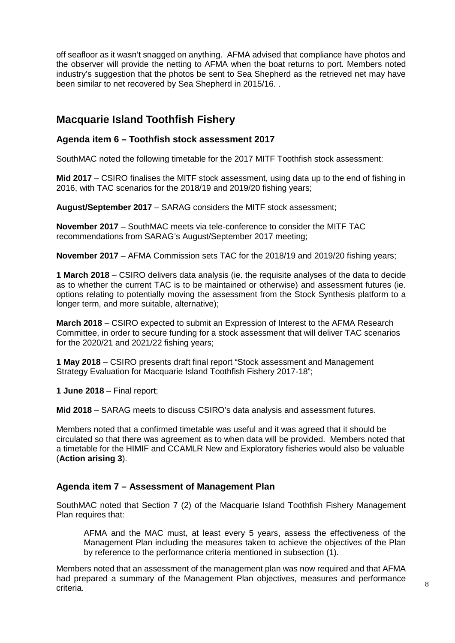off seafloor as it wasn't snagged on anything. AFMA advised that compliance have photos and the observer will provide the netting to AFMA when the boat returns to port. Members noted industry's suggestion that the photos be sent to Sea Shepherd as the retrieved net may have been similar to net recovered by Sea Shepherd in 2015/16. .

# **Macquarie Island Toothfish Fishery**

#### **Agenda item 6 – Toothfish stock assessment 2017**

SouthMAC noted the following timetable for the 2017 MITF Toothfish stock assessment:

**Mid 2017** – CSIRO finalises the MITF stock assessment, using data up to the end of fishing in 2016, with TAC scenarios for the 2018/19 and 2019/20 fishing years;

**August/September 2017** – SARAG considers the MITF stock assessment;

**November 2017** – SouthMAC meets via tele-conference to consider the MITF TAC recommendations from SARAG's August/September 2017 meeting;

**November 2017** – AFMA Commission sets TAC for the 2018/19 and 2019/20 fishing years;

**1 March 2018** – CSIRO delivers data analysis (ie. the requisite analyses of the data to decide as to whether the current TAC is to be maintained or otherwise) and assessment futures (ie. options relating to potentially moving the assessment from the Stock Synthesis platform to a longer term, and more suitable, alternative);

**March 2018** – CSIRO expected to submit an Expression of Interest to the AFMA Research Committee, in order to secure funding for a stock assessment that will deliver TAC scenarios for the 2020/21 and 2021/22 fishing years;

**1 May 2018** – CSIRO presents draft final report "Stock assessment and Management Strategy Evaluation for Macquarie Island Toothfish Fishery 2017-18";

**1 June 2018** – Final report;

**Mid 2018** – SARAG meets to discuss CSIRO's data analysis and assessment futures.

Members noted that a confirmed timetable was useful and it was agreed that it should be circulated so that there was agreement as to when data will be provided. Members noted that a timetable for the HIMIF and CCAMLR New and Exploratory fisheries would also be valuable (**Action arising 3**).

#### **Agenda item 7 – Assessment of Management Plan**

SouthMAC noted that Section 7 (2) of the Macquarie Island Toothfish Fishery Management Plan requires that:

AFMA and the MAC must, at least every 5 years, assess the effectiveness of the Management Plan including the measures taken to achieve the objectives of the Plan by reference to the performance criteria mentioned in subsection (1).

Members noted that an assessment of the management plan was now required and that AFMA had prepared a summary of the Management Plan objectives, measures and performance criteria.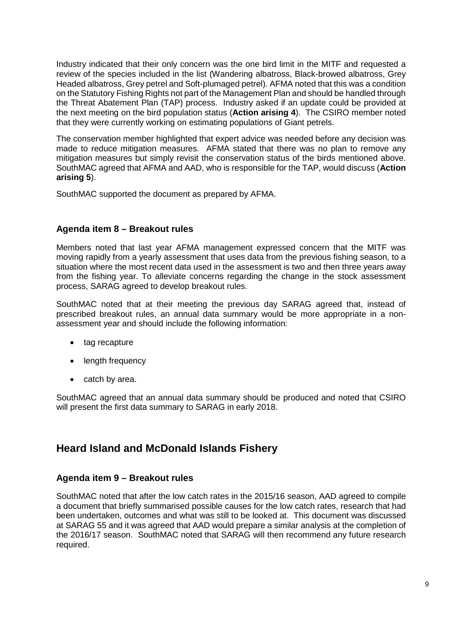Industry indicated that their only concern was the one bird limit in the MITF and requested a review of the species included in the list (Wandering albatross, Black-browed albatross, Grey Headed albatross, Grey petrel and Soft-plumaged petrel). AFMA noted that this was a condition on the Statutory Fishing Rights not part of the Management Plan and should be handled through the Threat Abatement Plan (TAP) process. Industry asked if an update could be provided at the next meeting on the bird population status (**Action arising 4**). The CSIRO member noted that they were currently working on estimating populations of Giant petrels.

The conservation member highlighted that expert advice was needed before any decision was made to reduce mitigation measures. AFMA stated that there was no plan to remove any mitigation measures but simply revisit the conservation status of the birds mentioned above. SouthMAC agreed that AFMA and AAD, who is responsible for the TAP, would discuss (**Action arising 5**).

SouthMAC supported the document as prepared by AFMA.

# **Agenda item 8 – Breakout rules**

Members noted that last year AFMA management expressed concern that the MITF was moving rapidly from a yearly assessment that uses data from the previous fishing season, to a situation where the most recent data used in the assessment is two and then three years away from the fishing year. To alleviate concerns regarding the change in the stock assessment process, SARAG agreed to develop breakout rules.

SouthMAC noted that at their meeting the previous day SARAG agreed that, instead of prescribed breakout rules, an annual data summary would be more appropriate in a nonassessment year and should include the following information:

- tag recapture
- length frequency
- catch by area.

SouthMAC agreed that an annual data summary should be produced and noted that CSIRO will present the first data summary to SARAG in early 2018.

# **Heard Island and McDonald Islands Fishery**

# **Agenda item 9 – Breakout rules**

SouthMAC noted that after the low catch rates in the 2015/16 season, AAD agreed to compile a document that briefly summarised possible causes for the low catch rates, research that had been undertaken, outcomes and what was still to be looked at. This document was discussed at SARAG 55 and it was agreed that AAD would prepare a similar analysis at the completion of the 2016/17 season. SouthMAC noted that SARAG will then recommend any future research required.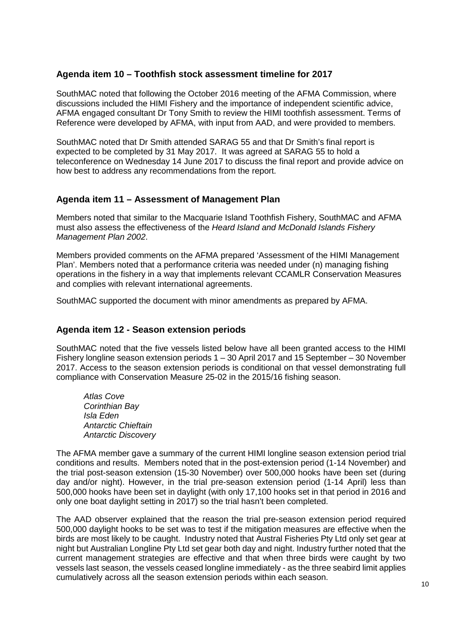# **Agenda item 10 – Toothfish stock assessment timeline for 2017**

SouthMAC noted that following the October 2016 meeting of the AFMA Commission, where discussions included the HIMI Fishery and the importance of independent scientific advice, AFMA engaged consultant Dr Tony Smith to review the HIMI toothfish assessment. Terms of Reference were developed by AFMA, with input from AAD, and were provided to members.

SouthMAC noted that Dr Smith attended SARAG 55 and that Dr Smith's final report is expected to be completed by 31 May 2017. It was agreed at SARAG 55 to hold a teleconference on Wednesday 14 June 2017 to discuss the final report and provide advice on how best to address any recommendations from the report.

#### **Agenda item 11 – Assessment of Management Plan**

Members noted that similar to the Macquarie Island Toothfish Fishery, SouthMAC and AFMA must also assess the effectiveness of the *Heard Island and McDonald Islands Fishery Management Plan 2002*.

Members provided comments on the AFMA prepared 'Assessment of the HIMI Management Plan'. Members noted that a performance criteria was needed under (n) managing fishing operations in the fishery in a way that implements relevant CCAMLR Conservation Measures and complies with relevant international agreements.

SouthMAC supported the document with minor amendments as prepared by AFMA.

#### **Agenda item 12 - Season extension periods**

SouthMAC noted that the five vessels listed below have all been granted access to the HIMI Fishery longline season extension periods 1 – 30 April 2017 and 15 September – 30 November 2017. Access to the season extension periods is conditional on that vessel demonstrating full compliance with Conservation Measure 25-02 in the 2015/16 fishing season.

*Atlas Cove Corinthian Bay Isla Eden Antarctic Chieftain Antarctic Discovery*

The AFMA member gave a summary of the current HIMI longline season extension period trial conditions and results. Members noted that in the post-extension period (1-14 November) and the trial post-season extension (15-30 November) over 500,000 hooks have been set (during day and/or night). However, in the trial pre-season extension period (1-14 April) less than 500,000 hooks have been set in daylight (with only 17,100 hooks set in that period in 2016 and only one boat daylight setting in 2017) so the trial hasn't been completed.

The AAD observer explained that the reason the trial pre-season extension period required 500,000 daylight hooks to be set was to test if the mitigation measures are effective when the birds are most likely to be caught. Industry noted that Austral Fisheries Pty Ltd only set gear at night but Australian Longline Pty Ltd set gear both day and night. Industry further noted that the current management strategies are effective and that when three birds were caught by two vessels last season, the vessels ceased longline immediately - as the three seabird limit applies cumulatively across all the season extension periods within each season.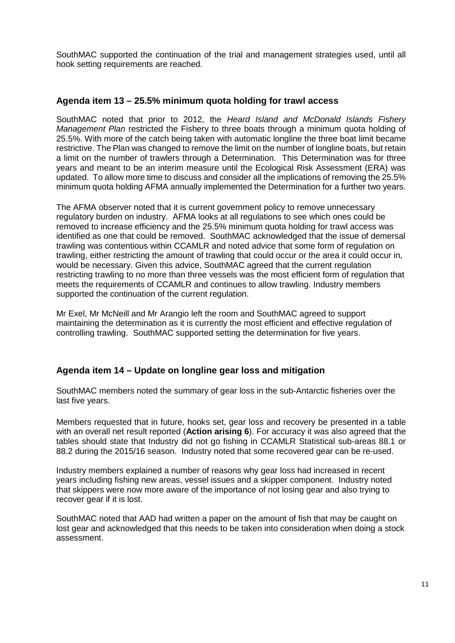SouthMAC supported the continuation of the trial and management strategies used, until all hook setting requirements are reached.

#### **Agenda item 13 – 25.5% minimum quota holding for trawl access**

SouthMAC noted that prior to 2012, the *Heard Island and McDonald Islands Fishery Management Plan* restricted the Fishery to three boats through a minimum quota holding of 25.5%. With more of the catch being taken with automatic longline the three boat limit became restrictive. The Plan was changed to remove the limit on the number of longline boats, but retain a limit on the number of trawlers through a Determination. This Determination was for three years and meant to be an interim measure until the Ecological Risk Assessment (ERA) was updated. To allow more time to discuss and consider all the implications of removing the 25.5% minimum quota holding AFMA annually implemented the Determination for a further two years.

The AFMA observer noted that it is current government policy to remove unnecessary regulatory burden on industry. AFMA looks at all regulations to see which ones could be removed to increase efficiency and the 25.5% minimum quota holding for trawl access was identified as one that could be removed. SouthMAC acknowledged that the issue of demersal trawling was contentious within CCAMLR and noted advice that some form of regulation on trawling, either restricting the amount of trawling that could occur or the area it could occur in, would be necessary. Given this advice, SouthMAC agreed that the current regulation restricting trawling to no more than three vessels was the most efficient form of regulation that meets the requirements of CCAMLR and continues to allow trawling. Industry members supported the continuation of the current regulation.

Mr Exel, Mr McNeill and Mr Arangio left the room and SouthMAC agreed to support maintaining the determination as it is currently the most efficient and effective regulation of controlling trawling. SouthMAC supported setting the determination for five years.

#### **Agenda item 14 – Update on longline gear loss and mitigation**

SouthMAC members noted the summary of gear loss in the sub-Antarctic fisheries over the last five years.

Members requested that in future, hooks set, gear loss and recovery be presented in a table with an overall net result reported (**Action arising 6**). For accuracy it was also agreed that the tables should state that Industry did not go fishing in CCAMLR Statistical sub-areas 88.1 or 88.2 during the 2015/16 season. Industry noted that some recovered gear can be re-used.

Industry members explained a number of reasons why gear loss had increased in recent years including fishing new areas, vessel issues and a skipper component. Industry noted that skippers were now more aware of the importance of not losing gear and also trying to recover gear if it is lost.

SouthMAC noted that AAD had written a paper on the amount of fish that may be caught on lost gear and acknowledged that this needs to be taken into consideration when doing a stock assessment.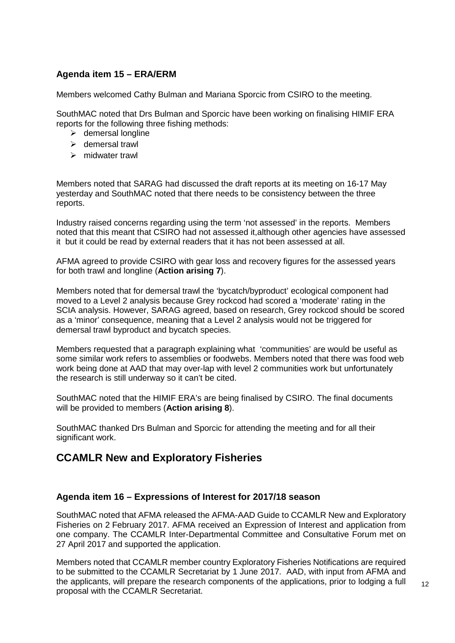# **Agenda item 15 – ERA/ERM**

Members welcomed Cathy Bulman and Mariana Sporcic from CSIRO to the meeting.

SouthMAC noted that Drs Bulman and Sporcic have been working on finalising HIMIF ERA reports for the following three fishing methods:

- $\triangleright$  demersal longline
- > demersal trawl
- > midwater trawl

Members noted that SARAG had discussed the draft reports at its meeting on 16-17 May yesterday and SouthMAC noted that there needs to be consistency between the three reports.

Industry raised concerns regarding using the term 'not assessed' in the reports. Members noted that this meant that CSIRO had not assessed it,although other agencies have assessed it but it could be read by external readers that it has not been assessed at all.

AFMA agreed to provide CSIRO with gear loss and recovery figures for the assessed years for both trawl and longline (**Action arising 7**).

Members noted that for demersal trawl the 'bycatch/byproduct' ecological component had moved to a Level 2 analysis because Grey rockcod had scored a 'moderate' rating in the SCIA analysis. However, SARAG agreed, based on research, Grey rockcod should be scored as a 'minor' consequence, meaning that a Level 2 analysis would not be triggered for demersal trawl byproduct and bycatch species.

Members requested that a paragraph explaining what 'communities' are would be useful as some similar work refers to assemblies or foodwebs. Members noted that there was food web work being done at AAD that may over-lap with level 2 communities work but unfortunately the research is still underway so it can't be cited.

SouthMAC noted that the HIMIF ERA's are being finalised by CSIRO. The final documents will be provided to members (**Action arising 8**).

SouthMAC thanked Drs Bulman and Sporcic for attending the meeting and for all their significant work.

# **CCAMLR New and Exploratory Fisheries**

# **Agenda item 16 – Expressions of Interest for 2017/18 season**

SouthMAC noted that AFMA released the AFMA-AAD Guide to CCAMLR New and Exploratory Fisheries on 2 February 2017. AFMA received an Expression of Interest and application from one company. The CCAMLR Inter-Departmental Committee and Consultative Forum met on 27 April 2017 and supported the application.

Members noted that CCAMLR member country Exploratory Fisheries Notifications are required to be submitted to the CCAMLR Secretariat by 1 June 2017. AAD, with input from AFMA and the applicants, will prepare the research components of the applications, prior to lodging a full proposal with the CCAMLR Secretariat.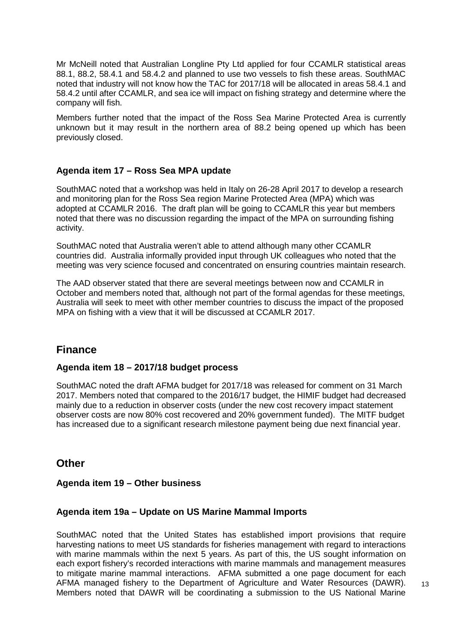Mr McNeill noted that Australian Longline Pty Ltd applied for four CCAMLR statistical areas 88.1, 88.2, 58.4.1 and 58.4.2 and planned to use two vessels to fish these areas. SouthMAC noted that industry will not know how the TAC for 2017/18 will be allocated in areas 58.4.1 and 58.4.2 until after CCAMLR, and sea ice will impact on fishing strategy and determine where the company will fish.

Members further noted that the impact of the Ross Sea Marine Protected Area is currently unknown but it may result in the northern area of 88.2 being opened up which has been previously closed.

# **Agenda item 17 – Ross Sea MPA update**

SouthMAC noted that a workshop was held in Italy on 26-28 April 2017 to develop a research and monitoring plan for the Ross Sea region Marine Protected Area (MPA) which was adopted at CCAMLR 2016. The draft plan will be going to CCAMLR this year but members noted that there was no discussion regarding the impact of the MPA on surrounding fishing activity.

SouthMAC noted that Australia weren't able to attend although many other CCAMLR countries did. Australia informally provided input through UK colleagues who noted that the meeting was very science focused and concentrated on ensuring countries maintain research.

The AAD observer stated that there are several meetings between now and CCAMLR in October and members noted that, although not part of the formal agendas for these meetings, Australia will seek to meet with other member countries to discuss the impact of the proposed MPA on fishing with a view that it will be discussed at CCAMLR 2017.

# **Finance**

#### **Agenda item 18 – 2017/18 budget process**

SouthMAC noted the draft AFMA budget for 2017/18 was released for comment on 31 March 2017. Members noted that compared to the 2016/17 budget, the HIMIF budget had decreased mainly due to a reduction in observer costs (under the new cost recovery impact statement observer costs are now 80% cost recovered and 20% government funded). The MITF budget has increased due to a significant research milestone payment being due next financial year.

# **Other**

#### **Agenda item 19 – Other business**

#### **Agenda item 19a – Update on US Marine Mammal Imports**

SouthMAC noted that the United States has established import provisions that require harvesting nations to meet US standards for fisheries management with regard to interactions with marine mammals within the next 5 years. As part of this, the US sought information on each export fishery's recorded interactions with marine mammals and management measures to mitigate marine mammal interactions. AFMA submitted a one page document for each AFMA managed fishery to the Department of Agriculture and Water Resources (DAWR). Members noted that DAWR will be coordinating a submission to the US National Marine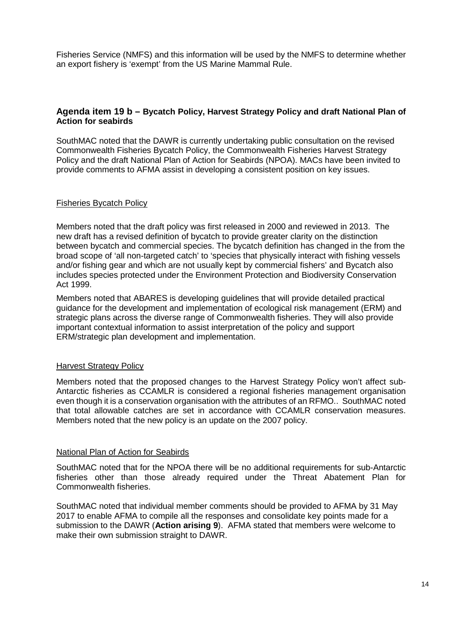Fisheries Service (NMFS) and this information will be used by the NMFS to determine whether an export fishery is 'exempt' from the US Marine Mammal Rule.

#### **Agenda item 19 b – Bycatch Policy, Harvest Strategy Policy and draft National Plan of Action for seabirds**

SouthMAC noted that the DAWR is currently undertaking public consultation on the revised Commonwealth Fisheries Bycatch Policy, the Commonwealth Fisheries Harvest Strategy Policy and the draft National Plan of Action for Seabirds (NPOA). MACs have been invited to provide comments to AFMA assist in developing a consistent position on key issues.

#### Fisheries Bycatch Policy

Members noted that the draft policy was first released in 2000 and reviewed in 2013. The new draft has a revised definition of bycatch to provide greater clarity on the distinction between bycatch and commercial species. The bycatch definition has changed in the from the broad scope of 'all non-targeted catch' to 'species that physically interact with fishing vessels and/or fishing gear and which are not usually kept by commercial fishers' and Bycatch also includes species protected under the Environment Protection and Biodiversity Conservation Act 1999.

Members noted that ABARES is developing guidelines that will provide detailed practical guidance for the development and implementation of ecological risk management (ERM) and strategic plans across the diverse range of Commonwealth fisheries. They will also provide important contextual information to assist interpretation of the policy and support ERM/strategic plan development and implementation.

#### Harvest Strategy Policy

Members noted that the proposed changes to the Harvest Strategy Policy won't affect sub-Antarctic fisheries as CCAMLR is considered a regional fisheries management organisation even though it is a conservation organisation with the attributes of an RFMO.. SouthMAC noted that total allowable catches are set in accordance with CCAMLR conservation measures. Members noted that the new policy is an update on the 2007 policy.

#### National Plan of Action for Seabirds

SouthMAC noted that for the NPOA there will be no additional requirements for sub-Antarctic fisheries other than those already required under the Threat Abatement Plan for Commonwealth fisheries.

SouthMAC noted that individual member comments should be provided to AFMA by 31 May 2017 to enable AFMA to compile all the responses and consolidate key points made for a submission to the DAWR (**Action arising 9**). AFMA stated that members were welcome to make their own submission straight to DAWR.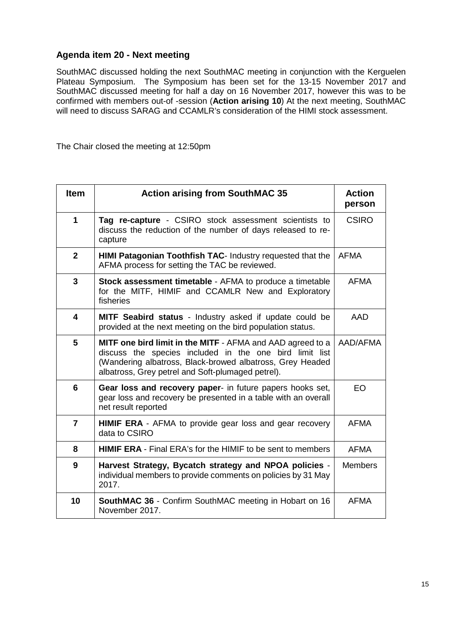# **Agenda item 20 - Next meeting**

SouthMAC discussed holding the next SouthMAC meeting in conjunction with the Kerguelen Plateau Symposium. The Symposium has been set for the 13-15 November 2017 and SouthMAC discussed meeting for half a day on 16 November 2017, however this was to be confirmed with members out-of -session (**Action arising 10**) At the next meeting, SouthMAC will need to discuss SARAG and CCAMLR's consideration of the HIMI stock assessment.

The Chair closed the meeting at 12:50pm

| <b>Item</b>    | <b>Action arising from SouthMAC 35</b>                                                                                                                                                                                                  | <b>Action</b><br>person |
|----------------|-----------------------------------------------------------------------------------------------------------------------------------------------------------------------------------------------------------------------------------------|-------------------------|
| 1              | Tag re-capture - CSIRO stock assessment scientists to<br>discuss the reduction of the number of days released to re-<br>capture                                                                                                         | <b>CSIRO</b>            |
| $\overline{2}$ | HIMI Patagonian Toothfish TAC- Industry requested that the<br>AFMA process for setting the TAC be reviewed.                                                                                                                             | <b>AFMA</b>             |
| 3              | <b>Stock assessment timetable - AFMA to produce a timetable</b><br>for the MITF, HIMIF and CCAMLR New and Exploratory<br>fisheries                                                                                                      | <b>AFMA</b>             |
| 4              | MITF Seabird status - Industry asked if update could be<br>provided at the next meeting on the bird population status.                                                                                                                  | AAD                     |
| 5              | MITF one bird limit in the MITF - AFMA and AAD agreed to a<br>discuss the species included in the one bird limit list<br>(Wandering albatross, Black-browed albatross, Grey Headed<br>albatross, Grey petrel and Soft-plumaged petrel). | AAD/AFMA                |
| 6              | Gear loss and recovery paper- in future papers hooks set,<br>gear loss and recovery be presented in a table with an overall<br>net result reported                                                                                      | EO                      |
| $\overline{7}$ | <b>HIMIF ERA</b> - AFMA to provide gear loss and gear recovery<br>data to CSIRO                                                                                                                                                         | <b>AFMA</b>             |
| 8              | <b>HIMIF ERA</b> - Final ERA's for the HIMIF to be sent to members                                                                                                                                                                      | <b>AFMA</b>             |
| 9              | Harvest Strategy, Bycatch strategy and NPOA policies -<br>individual members to provide comments on policies by 31 May<br>2017.                                                                                                         | <b>Members</b>          |
| 10             | <b>SouthMAC 36 - Confirm SouthMAC meeting in Hobart on 16</b><br>November 2017.                                                                                                                                                         | <b>AFMA</b>             |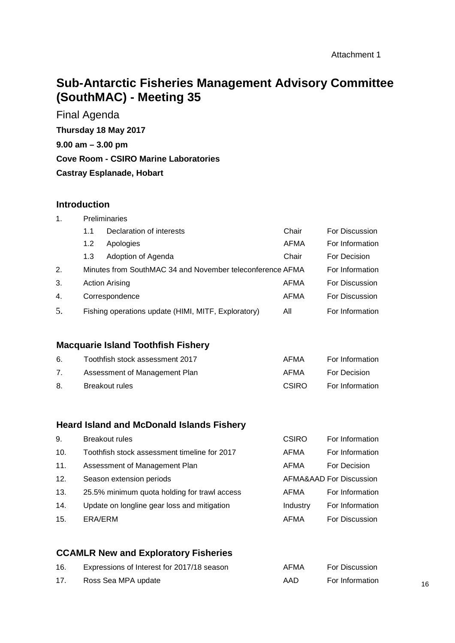# **Sub-Antarctic Fisheries Management Advisory Committee (SouthMAC) - Meeting 35**

Final Agenda **Thursday 18 May 2017 9.00 am – 3.00 pm Cove Room - CSIRO Marine Laboratories Castray Esplanade, Hobart**

#### **Introduction**

| $\mathbf 1$ . | <b>Preliminaries</b> |                                                           |             |                 |  |  |  |
|---------------|----------------------|-----------------------------------------------------------|-------------|-----------------|--|--|--|
|               | 1.1                  | Declaration of interests                                  | Chair       | For Discussion  |  |  |  |
|               | 1.2                  | Apologies                                                 | <b>AFMA</b> | For Information |  |  |  |
|               | 1.3                  | Adoption of Agenda                                        | Chair       | For Decision    |  |  |  |
| 2.            |                      | Minutes from SouthMAC 34 and November teleconference AFMA |             | For Information |  |  |  |
| 3.            |                      | <b>Action Arising</b>                                     | AFMA        | For Discussion  |  |  |  |
| 4.            |                      | Correspondence                                            | <b>AFMA</b> | For Discussion  |  |  |  |
| 5.            |                      | Fishing operations update (HIMI, MITF, Exploratory)       | All         | For Information |  |  |  |

# **Macquarie Island Toothfish Fishery**

| 6. | Toothfish stock assessment 2017 | AFMA         | For Information |
|----|---------------------------------|--------------|-----------------|
| 7. | Assessment of Management Plan   | AFMA         | For Decision    |
| 8. | <b>Breakout rules</b>           | <b>CSIRO</b> | For Information |

# **Heard Island and McDonald Islands Fishery**

| 9.  | <b>Breakout rules</b>                        | CSIRO    | For Information         |
|-----|----------------------------------------------|----------|-------------------------|
| 10. | Toothfish stock assessment timeline for 2017 | AFMA     | For Information         |
| 11. | Assessment of Management Plan                | AFMA     | For Decision            |
| 12. | Season extension periods                     |          | AFMA&AAD For Discussion |
| 13. | 25.5% minimum quota holding for trawl access | AFMA     | For Information         |
| 14. | Update on longline gear loss and mitigation  | Industry | For Information         |
| 15. | ERA/ERM                                      | AFMA     | <b>For Discussion</b>   |

# **CCAMLR New and Exploratory Fisheries**

| 16. | Expressions of Interest for 2017/18 season | AFMA | <b>For Discussion</b> |
|-----|--------------------------------------------|------|-----------------------|
| 17. | Ross Sea MPA update                        | AAD  | For Information       |